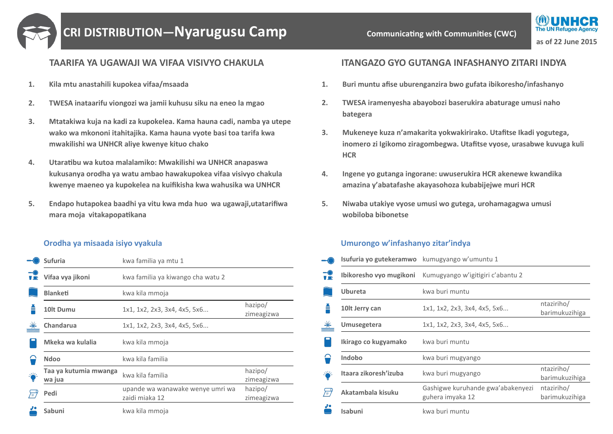

# **CRI DISTRIBUTION—Nyarugusu Camp Camp Communicating with Communities (CWC)**

## **TAARIFA YA UGAWAJI WA VIFAA VISIVYO CHAKULA**

- **1. Kila mtu anastahili kupokea vifaa/msaada**
- **2. TWESA inataarifu viongozi wa jamii kuhusu siku na eneo la mgao**
- **3. Mtatakiwa kuja na kadi za kupokelea. Kama hauna cadi, namba ya utepe wako wa mkononi itahitajika. Kama hauna vyote basi toa tarifa kwa mwakilishi wa UNHCR aliye kwenye kituo chako**
- **4. Utaratibu wa kutoa malalamiko: Mwakilishi wa UNHCR anapaswa kukusanya orodha ya watu ambao hawakupokea vifaa visivyo chakula kwenye maeneo ya kupokelea na kuifikisha kwa wahusika wa UNHCR**
- **5. Endapo hutapokea baadhi ya vitu kwa mda huo wa ugawaji,utatarifiwa mara moja vitakapopatikana**

#### **Orodha ya misaada isiyo vyakula**

|    | <b>Sufuria</b>                  | kwa familia ya mtu 1                               |                       |
|----|---------------------------------|----------------------------------------------------|-----------------------|
|    | Vifaa vya jikoni                | kwa familia ya kiwango cha watu 2                  |                       |
|    | <b>Blanketi</b>                 | kwa kila mmoja                                     |                       |
| 츨  | 10 <sub>t</sub> Dumu            | 1x1, 1x2, 2x3, 3x4, 4x5, 5x6                       | hazipo/<br>zimeagizwa |
|    | Chandarua                       | 1x1, 1x2, 2x3, 3x4, 4x5, 5x6                       |                       |
|    | Mkeka wa kulalia                | kwa kila mmoja                                     |                       |
|    | <b>Ndoo</b>                     | kwa kila familia                                   |                       |
| 學  | Taa ya kutumia mwanga<br>wa jua | kwa kila familia                                   | hazipo/<br>zimeagizwa |
| Γø | Pedi                            | upande wa wanawake wenye umri wa<br>zaidi miaka 12 | hazipo/<br>zimeagizwa |
|    | Sabuni                          | kwa kila mmoja                                     |                       |

### **ITANGAZO GYO GUTANGA INFASHANYO ZITARI INDYA**

- **1. Buri muntu afise uburenganzira bwo gufata ibikoresho/infashanyo**
- **2. TWESA iramenyesha abayobozi baserukira abaturage umusi naho bategera**
- **3. Mukeneye kuza n'amakarita yokwakirirako. Utafitse Ikadi yogutega, inomero zi Igikomo ziragombegwa. Utafitse vyose, urasabwe kuvuga kuli HCR**
- **4. Ingene yo gutanga ingorane: uwuserukira HCR akenewe kwandika amazina y'abatafashe akayasohoza kubabijejwe muri HCR**
- **5. Niwaba utakiye vyose umusi wo gutega, urohamagagwa umusi wobiloba bibonetse**

#### **Umurongo w'infashanyo zitar'indya**

|                          | Isufuria yo gutekeramwo kumugyango w'umuntu 1 |                                                       |                              |
|--------------------------|-----------------------------------------------|-------------------------------------------------------|------------------------------|
| $\mathbf{F}^{\bullet}$   | Ibikoresho vyo mugikoni                       | Kumugyango w'igitigiri c'abantu 2                     |                              |
|                          | <b>Ubureta</b>                                | kwa buri muntu                                        |                              |
| ≛                        | 10 <sup>t</sup> Jerry can                     | 1x1, 1x2, 2x3, 3x4, 4x5, 5x6                          | ntaziriho/<br>barimukuzihiga |
|                          | Umusegetera                                   | 1x1, 1x2, 2x3, 3x4, 4x5, 5x6                          |                              |
|                          | Ikirago co kugyamako                          | kwa buri muntu                                        |                              |
|                          | Indobo                                        | kwa buri mugyango                                     |                              |
|                          | Itaara zikoresh'izuba                         | kwa buri mugyango                                     | ntaziriho/<br>barimukuzihiga |
| $\overleftrightarrow{ }$ | Akatambala kisuku                             | Gashigwe kuruhande gwa'abakenyezi<br>guhera imyaka 12 | ntaziriho/<br>barimukuzihiga |
| J•                       | Isabuni                                       | kwa buri muntu                                        |                              |